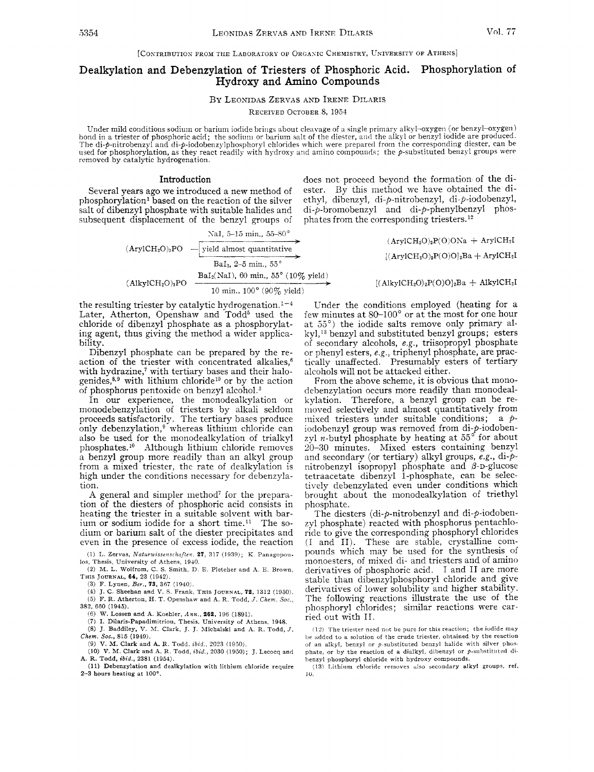[CONTRIBUTION FROM THE LABORATORY OF ORGANIC CHEMISTRY, UNIVERSITY OF ATHENS]

## Dealkylation and Debenzylation of Triesters of Phosphoric Acid. Phosphorylation of Hydroxy and Amino Compounds

BY LEONIDAS ZERVAS AND IRENE DILARIS

RECEIVED OCTOBER 8, 1954

Under mild conditions sodium or barium iodide brings about cleavage of a single primary alkyl-oxygen (or benzyl-oxygen) bond in a triester of phosphoric acid; the sodium or barium salt of the diester, and the alkyl or benzyl iodide are produced. The di-p-nitrobenzyl and di-p-iodobenzylphosphoryl chlorides which were prepared from the corresponding diester, can be<br>used for phosphorylation, as they react readily with hydroxy and amino compounds; the p-substituted be

Several years ago we introduced a new method of phosphorylation<sup>1</sup> based on the reaction of the silver. salt of dibenzyl phosphate with suitable halides and di-p-bromobenzyl and di-p-phenylbenz<br>subsequent displacement of the benzyl groups of phates from the corresponding triesters.<sup>12</sup> subsequent displacement of the benzyl groups of

> NaI, 5-15 min., 55-80°  $(Ary1CH<sub>2</sub>O)<sub>3</sub>PO$  - yield almost quantitative  $\overrightarrow{ve}$ <br> $\overrightarrow{ve}$ BaI<sub>2</sub>, 2-5 min., 55°  $\text{Bal}_2(\text{NaI}), 60 \text{ min.}, 55^{\circ} (10\% \text{ yield})$ <br>  $\longrightarrow$ 10 min., 100° (90% yield)

the resulting triester by catalytic hydrogenation.<sup>1-4</sup> Later, Atherton, Openshaw and Todd<sup>5</sup> used the chloride of dibenzyl phosphate as a phosphorylating agent, thus giving the method a wider applicability.

Dibenzyl phosphate can be prepared by the reaction of the triester with concentrated alkalies,<sup>6</sup> with hydrazine,<sup>7</sup> with tertiary bases and their halogenides, $8,9$  with lithium chloride<sup>10</sup> or by the action of phosphorus pentoxide on benzyl alcohol.<sup>3</sup>

In our experience, the monodealkylation or monodebenzylation of triesters by alkali seldom proceeds satisfactorily. The tertiary bases produce only debenzylation,<sup>9</sup> whereas lithium chloride can also be used for the monodealkylation of trialkyl phosphates.<sup>10</sup> Although lithium chloride removes a benzyl group more readily than an alkyl group from a mixed triester, the rate of dealkylation is high under the conditions necessary for debenzylation.

A general and simpler method<sup>7</sup> for the preparation of the diesters of phosphoric acid consists in heating the triester in a suitable solvent with barium or sodium iodide for a short time.<sup>11</sup> The sodium or barium salt of the diester precipitates and even in the presence of excess iodide, the reaction

(1) **I,.** Zervas, *Nuturwzssenschajlen,* **27,** 317 (1939); K. Panagopou **los,** Thesis, University of Athens, 1940.

**(2)** M. L. Wolfrom, C. *S.* Smith, D. E. Pletcher and A. E. Brown, **Tms** JOURNAL, **64,** 23 (1942).

(3) F. Lynen, *Bey.,* **73,** 367 (1940:.

(4) J. C. Sheehan and V. *S.* Frank, THIS JOURNAL, **73,** 1312 (1950). *(5)* F. R. Atherton. H. T. Openshaw and **A.** R. Todd, *J. Chem.* Soc., 382, 660 (1945).

(6) W. Lossen and **A.** Koehler. Ann.. **262,** 196 (1891).

**(7)** I. Dilaris-Papadimitriou, Thesis. University of Athens. 1948.

*(8)* J. Baddiley, V. M. Clark, J. J. Michalski and **A.** R. Todd, *J.*  Chcm. *SOC.,* 815 (1949).

(9) V. M. Clark and A. R. Todd, *ibid.*, 2023 (1950).

**(IO)** V. M. Clark and **9.** R. Todd, *ibid.,* 2030 (1950); J. Lecocq and **A.** R. Todd, ibid., 2381 (1954).

(11) Dehenzylation and dealkylation with lithium chloride require 2-3 hours heating at 100°.

**Introduction** does not proceed beyond the formation of the di-<br>to we introduced a new method of ester. By this method we have obtained the diethyl, dibenzyl, di-p-nitrobenzyl, di-p-iodobenzyl, di-p-bromobenzyl and di-p-phenylbenzyl phos-

> $(ArylCH<sub>2</sub>O)<sub>2</sub>P(O)ONa + ArylCH<sub>2</sub>I$  $[(ArylCH<sub>2</sub>O)<sub>2</sub>P(O)O]<sub>2</sub>Ba + ArylCH<sub>2</sub>I$

> > $[(\text{AlkyICH}_2\text{O})_2\text{P(O)O}]_2\text{Ba} + \text{AlkyICH}_2\text{I}$

Under the conditions employed (heating for a few minutes at 80-100" or at the most for one hour at *55')* the iodide salts remove only primary alkyl,<sup>13</sup> benzyl and substituted benzyl groups; esters of secondary alcohols, e.g., triisopropyl phosphate or phenyl esters, e.g., triphenyl phosphate, are practically unaffected. Presumably esters of tertiary alcohols will not be attacked either.

From the above scheme, it is obvious that monodebenzylation occurs more readily than monodealkylation. Therefore, a benzyl group can be removed selectively and almost quantitatively from mixed triesters under suitable conditions; a *p*iodobenzyl group was removed from di-p-iodobenzyl n-butyl phosphate by heating at *55"* for about 20-30 minutes. Mixed esters containing benzyl and secondary (or tertiary) alkyl groups, e.g., di-pnitrobenzyl isopropyl phosphate and  $\beta$ -D-glucose tetraacetate dibenzyl 1-phosphate, can be selectively debenzylated even under conditions which brought about the monodealkylation of triethyl phosphate.

The diesters (di-p-nitrobenzyl and di-p-iodobenzyl phosphate) reacted with phosphorus pentachloride to give the corresponding phosphoryl chlorides (I and 11). These are stable, crystalline compounds which may be used for the synthesis of monoesters, of mixed di- and triesters and of amino derivatives of phosphoric acid. I and IT are more stable than dibenzylphosphoryl chloride and give derivatives of lower solubility and higher stability. The following reactions illustrate the use of the phosphoryl chlorides; similar reactions were carried out with 11.

(131 T-ithium chloride renioves also ,econdary alkyl **groups.** ref. iu.

 $(12)$  The triester need not be pure for this reaction; the iodide may be added to a solution of the crude triester, obtained by the reaction of an alkyl, benzyl or  $p$ -substituted benzyl halide with silver phosphate, or by the reaction of a dialkyl, dibenzyl or p-substituted dihenzyl phosphoryl chloride with hydroxy compounds.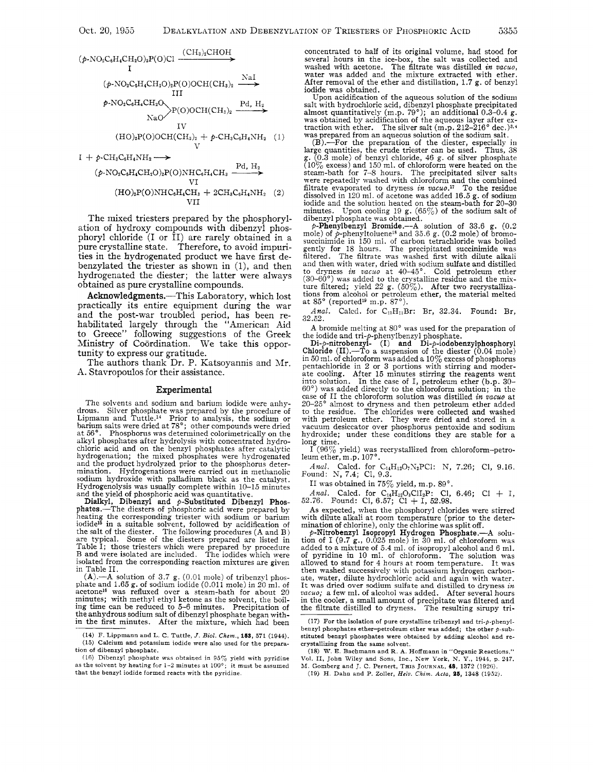

(P-NO~C~H~CHZO)~P(O)NHC~H~CH~ VI VI1 (HO)~P(O)NHCE.H~CH~ 2CHaCsH4NH2 **(2)** 

The mixed triesters prepared by the phosphorylation of hydroxy compounds with dibenzyl phosphoryl chloride (I or II) are rarely obtained in a pure crystalline state. Therefore, to avoid impurities in the hydrogenated product we have first debenzylated the triester as shown in (l), and then hydrogenated the diester; the latter were always obtained as pure crystalline compounds.

Acknowledgments.-This Laboratory, which lost practically its entire equipment during the war and the post-war troubled period, has been rehabilitated largely through the "American Aid to Greece" following suggestions of the Greek Ministry of Coordination. We take this opportunity to express our gratitude.

The authors thank Dr. P. Katsoyannis and Mr. **A.** Stavropoulos for their assistance.

### Experimental

The solvents and sodium and barium iodide were anhydrous. Silver phosphate was prepared by the procedure of Lipmann and Tuttle.14 Prior to analysis, the sodium or barium salts were dried at *78';* other compounds were dried at 56". Phosphorus was determined colorimetrically on the alkyl phosphates after hydrolysis with concentrated hydrochloric acid and on the benzyl phosphates after catalytic hydrogenation; the mixed phosphates were hydrogenated and the product hydrolyzed prior to the phosphorus determination. Hydrogenations were carried out in methanolic sodium hydroxide with palladium black as the catalyst. Hydrogenolysis was usually complete within 10-15 minutes

and the yield of phosphoric acid was quantitative.<br>
Dialkyl, Dibenzyl and  $p$ -Substituted Dibenzyl Phos-<br>
phates.—The diesters of phosphoric acid were prepared by<br>
heating the corresponding triester with solitim or barium Table I; those triesters which were prepared by procedure B and were isolated are included. The iodides which were isolated from the corresponding reaction mixtures are given in Table 11.

 $(A)$ .—A solution of 3.7 g. (0.01 mole) of tribenzyl phos-<br>phate and 1.65 g. of sodium iodide (0.011 mole) in 20 ml. of acetone<sup>16</sup> was refluxed over a steam-bath for about 20 minutes; with methyl ethyl ketone as the solvent, the boiling time can be reduced to 5-6 minutes. Precipitation of the anhydrous sodium salt of dibenzyl phosphate began within the first minutes. After the mixture, which had been

concentrated to half of its original volume, had stood for several hours in the ice-box, the salt was collected and<br>washed with acetone. The filtrate was distilled *in vacuo*, washed with acetone. The filtrate was distilled *in vucuo,*  water was added and the mixture extracted with ether. After removal of the ether and distillation, 1.7 g, of benzyl iodide was obtained.

Upon acidification of the aqueous solution of the sodium salt with hydrochloric acid, dibenzyl phosphate precipitated almost quantitatively  $(m.p. 79^\circ)$ ; an additional 0.3-0.4 g.

almost quantitatively (m.p. 79°); an additional 0.3–0.4 g.<br>was obtained by acidification of the aqueous layer after ex-<br>traction with ether. The silver salt (m.p. 212–216° dec.)<sup>3,4</sup><br>was prepared from an aqueous solution steam-bath for 7-8 hours. The precipitated silver salts were repeatedly washed with chloroform and the combined steam-band to  $T^{-3}$  filtrate evaporated with chloroform and the combined filtrate evaporated to dryness *in vacuo*.<sup>17</sup> To the residue dissolved in 120 ml. of acetone was added 16.5 g. of sodium iodide and the solution heated on the steam-bath for 20-30 minutes. Upon cooling 19  $g$ . (65%) of the sodium salt of dibenzyl phosphate was obtained.

p-Phenylbenzyl Bromide.--A solution of 33.6 g. (0.2 mole) of p-phenyltoluene<sup>18</sup> and 35.6 g. (0.2 mole) of bromosuccinimide in 150 ml. of carbon tetrachloride was boiled gently for 18 hours. The precipitated succinimide was filtered. The filtrate was washed first with dilute alkali and then with water, dried with sodium sulfate and distilled<br>to dryness in vacuo at 40-45°. Cold petroleum ether<br>(30-60°) was added to the crystalline residue and the mix-<br>ture filtered; yield 22 g. (50%). After two recry

Anal. Calcd. for  $C_{13}H_{11}Br$ : Br, 32.34. Found: Br, 32.22.

A bromide melting at *80"* was used for the preparation of

the iodide and tri-*p*-phenylbenzyl phosphate.<br>
Di-*p*-nitrobenzyl- (I) and Di-*p*-iodobenzylphosphoryl<br>
Chloride (II).—To a suspension of the diester (0.04 mole)<br>
cin 50 ml. of chloroform was added a 10% excess of phosph ate cooling. After 15 minutes stirring the reagents went into solution. In the case of I, petroleum ether (b.p. **30-**  60') was added directly to the chloroform solution; in the case of I1 the chloroform solution was distilled *in vacuo* at  $20-25^\circ$  almost to dryness and then petroleum ether added to the residue. The chlorides were collected and washed to the residue. The chlorides were collected and washed with petroleum ether. They were dried and stored in a vacuum desiccator over phosphorus pentoxide and sodium hydroxide; under these conditions they are stable for a long time.

 $I^{(96\%)}$  yield) was recrystallized from chloroform-petro-<br>leum ether, m.p. 107°.

*Anal.* Calcd. for C<sub>14</sub>H<sub>12</sub>O<sub>7</sub>N<sub>2</sub>PC1: N, 7.26; C1, 9.16. Found: N, 7.4; C1, 9.3.

I1 was obtained in *7570* yield, m.p. 89'.

*Anal.* Calcd. for  $C_{14}H_{12}O_3CI_2P$ : C1, 6.46; C1 + I, 52.76. Found: C1, 6.57; C1 + I, 52.98.

As expected, when the phosphoryl chlorides were stirred with dilute alkali at room temperature (prior to the determination of chlorine), only the chlorine was split off.

 $p$ -Nitrobenzyl Isopropyl Hydrogen Phosphate.--A solution of I (9.7  $\rm g$ ., 0.025 mole) in 30 ml. of chloroform was added to a mixture of 5.4 ml. of isopropyl alcohol and 6 ml.<br>of pyridine in 10 ml. of chloroform. The solution was<br>allowed to stand for 4 hours at room temperature. It was<br>then washed successively with potassium hydrogen c ate, water, dilute hydrochloric acid and again with water. It was dried over sodium sulfate and distilled to dryness *in vacuo;* a few ml. of alcohol was added. After several hours in the cooler, a small amount of precipitate was filtered and the filtrate distilled to dryness. The resulting sirupy tri-

<sup>(14)</sup> **F.** Lippmann and L. C. Tuttle, *J.* **Bid.** *Chem.,* **163,** 571 (1944). (15) Calcium and potassium iodide were also used for the preparation of dibenzyl phosphate.

<sup>(16)</sup> Dibenzyl phosphate was obtained in  $95\%$  yield with pyridine as the solvent by heating for **1-2** minutes at 100'; it must be assumed that the benzyl iodide formed reacts with the pyridine.

<sup>(17)</sup> **For** the isolation of pure crystalline tribenzyl and tri-p-phenylbenzyl phosphates ether-petroleum ether was added; the other  $p$ -substituted benzyl phosphates were obtained by adding alcohol and recrystallizing from the same solvent.

<sup>(18)</sup> W. **E.** Bachmann and R. **A.** Hoffmann in "Organic Reactions." Vol. 11, John Wiley and Sons, Inc., h'ew **York,** N. **Y.,** 1944, p. 247. M. Gomberg and J. C. Pernert, THIS JOURNAL, 48, 1372 (1926).

<sup>(19)</sup> H. Dahn and P. Zoller, *Helv. Chim. Acta*, 25, 1348 (1952).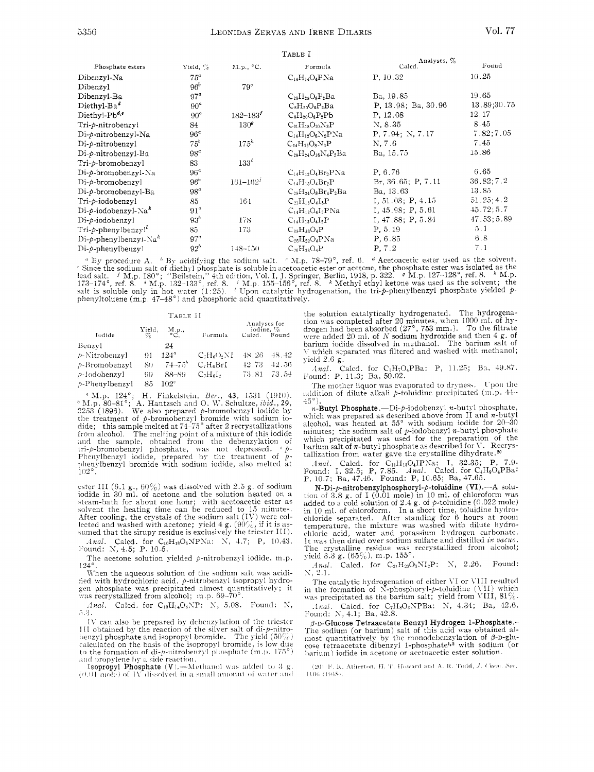|                 |                  | 1 ABLE 1                     |                      |             |
|-----------------|------------------|------------------------------|----------------------|-------------|
| Yield, $\%$     | M.p., °C.        | Formula                      | Caled.               | Found       |
| $75^{\circ}$    |                  |                              | P. 10.32             | 10.25       |
| 96 <sup>b</sup> | 79 <sup>c</sup>  |                              |                      |             |
| 97 <sup>a</sup> |                  | $C_{28}H_{28}O_8P_2Ba$       | Ba, 19.85            | 19.65       |
| $90^{\circ}$    |                  | $C_8H_{20}O_8P_2Ba$          | P. 13.98; Ba. 30.96  | 13.89;30.75 |
| $90^a$          | $182 - 183'$     | $C_8H_{20}O_8P_2Pb$          | P. 12.08             | 12.17       |
| 84              | 130 <sup>o</sup> | $C_{21}H_{18}O_{10}N_3P$     | N, 8.35              | 8.45        |
| $96^a$          |                  | $C_{14}H_{12}O_8N_2PNa$      | P, 7.94; N, 7.17     | 7.82; 7.05  |
| 75 <sup>b</sup> | $175^h$          | $C_{14}H_{13}O_8N_2P$        | N, 7.6               | 7.45        |
| $98^a$          |                  | $C_{28}H_{24}O_{16}N_4P_2Ba$ | Ba, 15.75            | 15.86       |
| 83              | $133^{\circ}$    |                              |                      |             |
| 96 <sup>4</sup> |                  | $C_{14}H_{12}O_4Br_2PNa$     | P. 6.76              | 6.65        |
| 96 <sup>b</sup> | $161 - 162'$     | $C_{14}H_{13}O_4Br_2P$       | Br, 36.65; P, 7.11   | 36.82; 7.2  |
| $98^a$          |                  | $C_{28}H_{24}O_8Br_4P_2Ba$   | Ba, 13.63            | 13.85       |
| 85              | 164              | $C_{21}H_{18}O_4I_3P$        | I, 51.03; P, 4.15    | 51.25; 4.2  |
| $91^{\circ}$    |                  | $C_{14}H_{12}O_{4}I_{2}PNa$  | I, 45.98; P, 5.61    | 45.72;5.7   |
| 93 <sup>b</sup> | 178              | $C_{14}H_{13}O_{4}I_{2}P$    | $I$ , 47.88; P, 5.84 | 47.53;5.89  |
| 85              | 173              | $C_{39}H_{33}O_4P$           | P. 5.19              | 5.1         |
| 97 <sup>a</sup> |                  | $C_{26}H_{22}O_4PNa$         | P, 6.85              | 6.8         |
| $92^b$          | $148 - 150$      | $C_{26}H_{23}O_4P$           | P, 7.2               | 7.1         |
|                 |                  |                              | $C_{14}H_{14}O_4PNa$ | Analyses %  |

" By procedure A. " By acidifying the sodium salt. " M.p. 78-79°, ref. 6. " Acetoacetic ester used as the solvent.<br>
"Since the sodium salt of diethyl phosphate is soluble in acetoacetic ester or acetone, the phosphate est

| TABLE II       |                           |           |                                   |                                     |          |  |  |  |
|----------------|---------------------------|-----------|-----------------------------------|-------------------------------------|----------|--|--|--|
| Iodide         | $\frac{\text{Yield}}{\%}$ | M.p.,     | Formula                           | Analyses for<br>iodine. %<br>Caled. | Found    |  |  |  |
| Benzvl         |                           | 24        |                                   |                                     |          |  |  |  |
| ⊅-Nitrobenzyl  | 91                        | $124^{a}$ | $C2H8O2NI$                        | 48.26                               | -48.42   |  |  |  |
| p-Bromobenzyl  | 80                        | $74 - 75$ | C <sub>7</sub> H <sub>6</sub> BrI | -42.73                              | $-42.56$ |  |  |  |
| p-lodobenzyl   | 90                        | 88-89     | $C2H6I2$                          | 73.81                               | - 73.54  |  |  |  |
| b-Phenvlbenzvl | 85                        | $102^c$   |                                   |                                     |          |  |  |  |

<sup>*n*</sup> M.p. 124°; H. Finkelstein, *Ber.*, **43**, 1531 (1910).<br><sup>*h*</sup> M.p. 80–81°; A. Hantzsch and O. W. Schultze, *ibid.*, 29, 2253 (1896). We also prepared *p*-bromobenzyl iodide by the treatment of *p*-bromobenzyl bromide from alcohol. The melting point of a mixture of this iodide and the sample, obtained from the debenzylation of<br>tri-p-bromobenzyl phosphate, was not depressed.  $\circ$  p-<br>Phenylbenzyl iodide, prepared by the treatment of pphenylbenzyl bromide with sodium iodide, also melted at

ester III (6.1 g.,  $60\%$ ) was dissolved with 2.5 g. of sodium iodide in 30 ml. of acetone and the solution heated on a steam-bath for about one hour; with acetoacetic ester as solvent the heating time can be reduced to 15 minutes. After cooling, the crystals of the sodium salt (IV) were collected and washed with acetone; yield 4 g.  $(90\%)$ , if it is assumed that the sirupy residue is exclusively the triester III).

Anal. Calcd. for  $C_{10}H_{13}O_6NPNa$ : N, 4.7; P, 10.43.<br>Found: N, 4.5; P, 10.5.

The acetone solution yielded  $p$ -nitrobenzyl iodide, m.p.  $124^\circ$ 

When the aqueous solution of the sodium salt was acidified with hydrochloric acid, p-nitrobenzyl isopropyl hydrogen phosphate was precipitated almost quantitatively; it was recrystallized from alcohol; m.p. 69-70°.

Anal. Calcd. for  $C_{10}H_{14}O_6NP$ : N, 5.08. Found: N, 5.3.

IV can also be prepared by debenzylation of the triester III obtained by the reaction of the silver salt of di-*p*-nitro-<br>benzyl phosphate and isopropyl bromide. The yield  $(50\%)$ calculated on the basis of the isopropyl bromide, is low due<br>to the formation of di- $p$ -nitrobeuzyl phosphate (m.p. 175°) and propylene by a side reaction.

Isopropyl Phosphate (V).-Methanol was added to 3 g.  $(0.01$  mole) of TV dissolved in a small amount of water and the solution catalytically hydrogenated. The hydrogenation was completed after 20 minutes, when 1000 ml. of hydrogen had been absorbed  $(27^{\circ}, 753 \text{ mm.})$ . To the filtrate were added 20 ml. of N sodium hydroxide and then V which separated was filtered and washed with methanol; yield  $2.6$  g.

Anal. Calcd. for C<sub>3</sub>H<sub>7</sub>O<sub>4</sub>PBa: P, 11.25; Ba, 49.87. Found: P, 11.3; Ba, 50.02.

The mother liquor was evaporated to dryness. Upon the addition of dilute alkali p-toluidine precipitated (m.p. 44- $45^{\circ}$ )

 $n$ -Butyl Phosphate.--Di-p-iodobenzyl  $n$ -butyl phosphate, which was prepared as described above from II and *n*-butyl alcohol, was heated at  $55^{\circ}$  with sodium iodide for 20–30 minutes; the sodium salt of *p*-iodobenzyl *n*-butyl phosphate which precipitated was used for the preparation of the barium salt of *n*-butyl phosphate as described for  $V$ . Recrystallization from water gave the crystalline dihydrate.<sup>20</sup>

Anal. Calcd. for  $C_{11}H_{19}O_4IP$ Na: I, 32.35; P, 7.9.<br>Found: I, 32.5; P, 7.85. Anal. Calcd. for  $C_4H_9O_4PBa$ : P, 10.7; Ba, 47.46. Found: P, 10.65; Ba, 47.65.

N-Di-p-nitrobenzylphosphoryl-p-toluidine (VI).---A solution of 3.8 g, of I (0.01 mole) in 10 ml. of chloroform was<br>added to a cold solution of 2.4 g, of  $p$ -toluidine (0.022 mole)<br>in 10 ml. of chloroform. In a short time, toluidine hydro-<br>chloride separated. After standing fo emonate separature, the mixture was washed with dilute hydro-<br>temperature, the mixture was washed with dilute hydro-<br>chloric acid, water and potassium hydrogen carbonate. It was then dried over sodium sulfate and distilled in vacuo. The crystalline residue was recrystallized from alcohol;<br>yield 3.3 g.  $(65\%)$ , m.p.  $155^\circ$ .

Anal. Calcd. for  $C_{21}H_{20}O_3NI_2P$ : N, 2.26. Found:  $N, 2.1.$ 

The catalytic hydrogenation of either VI or VIII resulted<br>in the formation of N-phosphoryl- $p$ -toluidine (VII) which was precipitated as the barium salt; yield from VIII,  $81\%$ .

*Anal.* Calcd. for C<sub>7</sub>H<sub>8</sub>O<sub>3</sub>NPBa: N, 4.34; Ba, 42.6.<br>Found: N, 4.1; Ba, 42.8.

B-D-Glucose Tetraacetate Benzyl Hydrogen 1-Phosphate.-The sodium (or barium) salt of this acid was obtained almost quantitatively by the monodebenzylation of  $\beta$ -D-glucose tetraacetate dibenzyl 1-phosphate<sup>1,2</sup> with sodium (or barium) iodide in acetone or acetoacetic ester solution.

<sup>(20)</sup> F. R. Atherton, H. T. Howard and A. R. Todd, J. Chem. Soc. 1106 (1948)